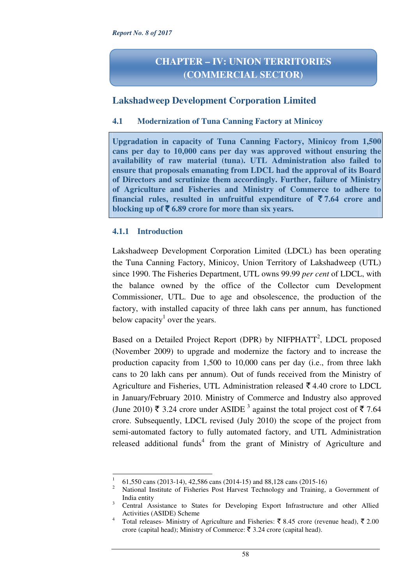# **CHAPTER – IV: UNION TERRITORIES (COMMERCIAL SECTOR)**

## **Lakshadweep Development Corporation Limited**

## **4.1 Modernization of Tuna Canning Factory at Minicoy**

**Upgradation in capacity of Tuna Canning Factory, Minicoy from 1,500 cans per day to 10,000 cans per day was approved without ensuring the availability of raw material (tuna). UTL Administration also failed to ensure that proposals emanating from LDCL had the approval of its Board of Directors and scrutinize them accordingly. Further, failure of Ministry of Agriculture and Fisheries and Ministry of Commerce to adhere to**  financial rules, resulted in unfruitful expenditure of  $\bar{\mathbf{z}}$  7.64 crore and **blocking up of**  $\bar{\mathbf{\xi}}$  **6.89 crore for more than six years.** 

## **4.1.1 Introduction**

 $\overline{a}$ 

Lakshadweep Development Corporation Limited (LDCL) has been operating the Tuna Canning Factory, Minicoy, Union Territory of Lakshadweep (UTL) since 1990. The Fisheries Department, UTL owns 99.99 *per cent* of LDCL, with the balance owned by the office of the Collector cum Development Commissioner, UTL. Due to age and obsolescence, the production of the factory, with installed capacity of three lakh cans per annum, has functioned below capacity<sup>1</sup> over the years.

Based on a Detailed Project Report (DPR) by NIFPHATT<sup>2</sup>, LDCL proposed (November 2009) to upgrade and modernize the factory and to increase the production capacity from 1,500 to 10,000 cans per day (i.e., from three lakh cans to 20 lakh cans per annum). Out of funds received from the Ministry of Agriculture and Fisheries, UTL Administration released  $\bar{\xi}$  4.40 crore to LDCL in January/February 2010. Ministry of Commerce and Industry also approved (June 2010)  $\bar{\xi}$  3.24 crore under ASIDE<sup>3</sup> against the total project cost of  $\bar{\xi}$  7.64 crore. Subsequently, LDCL revised (July 2010) the scope of the project from semi-automated factory to fully automated factory, and UTL Administration released additional funds<sup>4</sup> from the grant of Ministry of Agriculture and

<sup>1</sup> 61,550 cans (2013-14), 42,586 cans (2014-15) and 88,128 cans (2015-16)

<sup>2</sup> National Institute of Fisheries Post Harvest Technology and Training, a Government of India entity

<sup>3</sup> Central Assistance to States for Developing Export Infrastructure and other Allied Activities (ASIDE) Scheme

<sup>4</sup> Total releases- Ministry of Agriculture and Fisheries: ₹8.45 crore (revenue head), ₹2.00 crore (capital head); Ministry of Commerce:  $\bar{\xi}$  3.24 crore (capital head).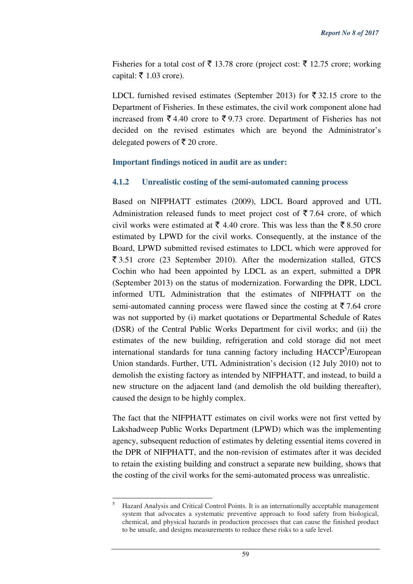Fisheries for a total cost of  $\bar{\xi}$  13.78 crore (project cost:  $\bar{\xi}$  12.75 crore; working capital:  $\bar{\tau}$  1.03 crore).

LDCL furnished revised estimates (September 2013) for  $\bar{\xi}$  32.15 crore to the Department of Fisheries. In these estimates, the civil work component alone had increased from  $\bar{\xi}$  4.40 crore to  $\bar{\xi}$  9.73 crore. Department of Fisheries has not decided on the revised estimates which are beyond the Administrator's delegated powers of  $\bar{\tau}$  20 crore.

#### **Important findings noticed in audit are as under:**

### **4.1.2 Unrealistic costing of the semi-automated canning process**

Based on NIFPHATT estimates (2009), LDCL Board approved and UTL Administration released funds to meet project cost of  $\overline{5}$  7.64 crore, of which civil works were estimated at  $\bar{\xi}$  4.40 crore. This was less than the  $\bar{\xi}$  8.50 crore estimated by LPWD for the civil works. Consequently, at the instance of the Board, LPWD submitted revised estimates to LDCL which were approved for  $\overline{\xi}$  3.51 crore (23 September 2010). After the modernization stalled, GTCS Cochin who had been appointed by LDCL as an expert, submitted a DPR (September 2013) on the status of modernization. Forwarding the DPR, LDCL informed UTL Administration that the estimates of NIFPHATT on the semi-automated canning process were flawed since the costing at  $\bar{\tau}$  7.64 crore was not supported by (i) market quotations or Departmental Schedule of Rates (DSR) of the Central Public Works Department for civil works; and (ii) the estimates of the new building, refrigeration and cold storage did not meet international standards for tuna canning factory including HACCP<sup>5</sup>/European Union standards. Further, UTL Administration's decision (12 July 2010) not to demolish the existing factory as intended by NIFPHATT, and instead, to build a new structure on the adjacent land (and demolish the old building thereafter), caused the design to be highly complex.

The fact that the NIFPHATT estimates on civil works were not first vetted by Lakshadweep Public Works Department (LPWD) which was the implementing agency, subsequent reduction of estimates by deleting essential items covered in the DPR of NIFPHATT, and the non-revision of estimates after it was decided to retain the existing building and construct a separate new building, shows that the costing of the civil works for the semi-automated process was unrealistic.

l

<sup>5</sup> Hazard Analysis and Critical Control Points. It is an internationally acceptable management system that advocates a systematic preventive approach to food safety from biological, chemical, and physical hazards in production processes that can cause the finished product to be unsafe, and designs measurements to reduce these risks to a safe level.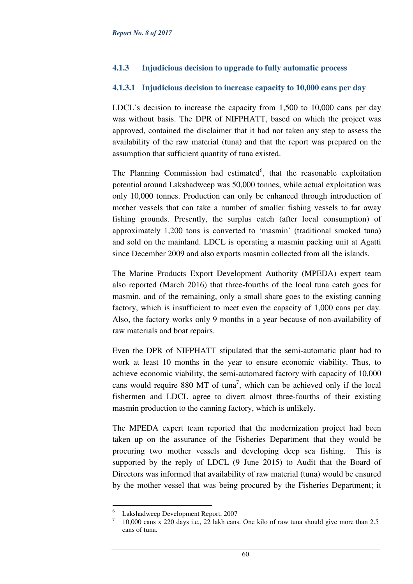## **4.1.3 Injudicious decision to upgrade to fully automatic process**

## **4.1.3.1 Injudicious decision to increase capacity to 10,000 cans per day**

LDCL's decision to increase the capacity from 1,500 to 10,000 cans per day was without basis. The DPR of NIFPHATT, based on which the project was approved, contained the disclaimer that it had not taken any step to assess the availability of the raw material (tuna) and that the report was prepared on the assumption that sufficient quantity of tuna existed.

The Planning Commission had estimated<sup>6</sup>, that the reasonable exploitation potential around Lakshadweep was 50,000 tonnes, while actual exploitation was only 10,000 tonnes. Production can only be enhanced through introduction of mother vessels that can take a number of smaller fishing vessels to far away fishing grounds. Presently, the surplus catch (after local consumption) of approximately 1,200 tons is converted to 'masmin' (traditional smoked tuna) and sold on the mainland. LDCL is operating a masmin packing unit at Agatti since December 2009 and also exports masmin collected from all the islands.

The Marine Products Export Development Authority (MPEDA) expert team also reported (March 2016) that three-fourths of the local tuna catch goes for masmin, and of the remaining, only a small share goes to the existing canning factory, which is insufficient to meet even the capacity of 1,000 cans per day. Also, the factory works only 9 months in a year because of non-availability of raw materials and boat repairs.

Even the DPR of NIFPHATT stipulated that the semi-automatic plant had to work at least 10 months in the year to ensure economic viability. Thus, to achieve economic viability, the semi-automated factory with capacity of 10,000 cans would require 880 MT of tuna<sup>7</sup>, which can be achieved only if the local fishermen and LDCL agree to divert almost three-fourths of their existing masmin production to the canning factory, which is unlikely.

The MPEDA expert team reported that the modernization project had been taken up on the assurance of the Fisheries Department that they would be procuring two mother vessels and developing deep sea fishing. This is supported by the reply of LDCL (9 June 2015) to Audit that the Board of Directors was informed that availability of raw material (tuna) would be ensured by the mother vessel that was being procured by the Fisheries Department; it

 $\overline{a}$ 

<sup>6</sup> Lakshadweep Development Report, 2007

<sup>7</sup> 10,000 cans x 220 days i.e., 22 lakh cans. One kilo of raw tuna should give more than 2.5 cans of tuna.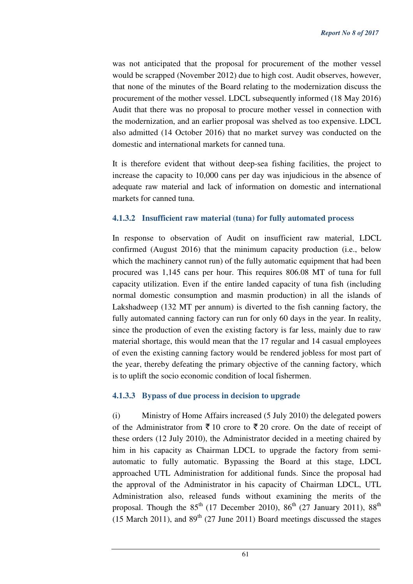was not anticipated that the proposal for procurement of the mother vessel would be scrapped (November 2012) due to high cost. Audit observes, however, that none of the minutes of the Board relating to the modernization discuss the procurement of the mother vessel. LDCL subsequently informed (18 May 2016) Audit that there was no proposal to procure mother vessel in connection with the modernization, and an earlier proposal was shelved as too expensive. LDCL also admitted (14 October 2016) that no market survey was conducted on the domestic and international markets for canned tuna.

It is therefore evident that without deep-sea fishing facilities, the project to increase the capacity to 10,000 cans per day was injudicious in the absence of adequate raw material and lack of information on domestic and international markets for canned tuna.

## **4.1.3.2 Insufficient raw material (tuna) for fully automated process**

In response to observation of Audit on insufficient raw material, LDCL confirmed (August 2016) that the minimum capacity production (i.e., below which the machinery cannot run) of the fully automatic equipment that had been procured was 1,145 cans per hour. This requires 806.08 MT of tuna for full capacity utilization. Even if the entire landed capacity of tuna fish (including normal domestic consumption and masmin production) in all the islands of Lakshadweep (132 MT per annum) is diverted to the fish canning factory, the fully automated canning factory can run for only 60 days in the year. In reality, since the production of even the existing factory is far less, mainly due to raw material shortage, this would mean that the 17 regular and 14 casual employees of even the existing canning factory would be rendered jobless for most part of the year, thereby defeating the primary objective of the canning factory, which is to uplift the socio economic condition of local fishermen.

## **4.1.3.3 Bypass of due process in decision to upgrade**

(i) Ministry of Home Affairs increased (5 July 2010) the delegated powers of the Administrator from  $\bar{\tau}$  10 crore to  $\bar{\tau}$  20 crore. On the date of receipt of these orders (12 July 2010), the Administrator decided in a meeting chaired by him in his capacity as Chairman LDCL to upgrade the factory from semiautomatic to fully automatic. Bypassing the Board at this stage, LDCL approached UTL Administration for additional funds. Since the proposal had the approval of the Administrator in his capacity of Chairman LDCL, UTL Administration also, released funds without examining the merits of the proposal. Though the  $85<sup>th</sup>$  (17 December 2010),  $86<sup>th</sup>$  (27 January 2011),  $88<sup>th</sup>$ (15 March 2011), and  $89<sup>th</sup>$  (27 June 2011) Board meetings discussed the stages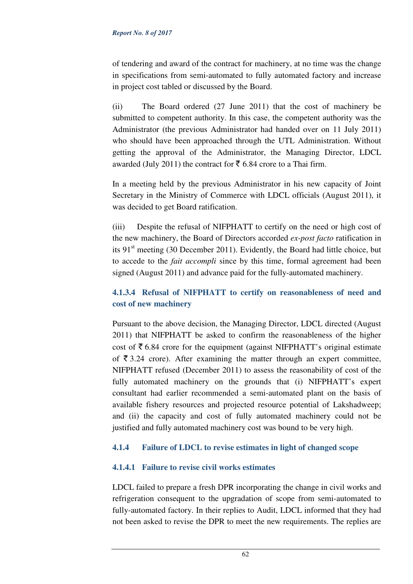#### *Report No. 8 of 2017*

of tendering and award of the contract for machinery, at no time was the change in specifications from semi-automated to fully automated factory and increase in project cost tabled or discussed by the Board.

(ii) The Board ordered (27 June 2011) that the cost of machinery be submitted to competent authority. In this case, the competent authority was the Administrator (the previous Administrator had handed over on 11 July 2011) who should have been approached through the UTL Administration. Without getting the approval of the Administrator, the Managing Director, LDCL awarded (July 2011) the contract for  $\bar{\xi}$  6.84 crore to a Thai firm.

In a meeting held by the previous Administrator in his new capacity of Joint Secretary in the Ministry of Commerce with LDCL officials (August 2011), it was decided to get Board ratification.

(iii) Despite the refusal of NIFPHATT to certify on the need or high cost of the new machinery, the Board of Directors accorded *ex-post facto* ratification in its  $91<sup>st</sup>$  meeting (30 December 2011). Evidently, the Board had little choice, but to accede to the *fait accompli* since by this time, formal agreement had been signed (August 2011) and advance paid for the fully-automated machinery.

## **4.1.3.4 Refusal of NIFPHATT to certify on reasonableness of need and cost of new machinery**

Pursuant to the above decision, the Managing Director, LDCL directed (August 2011) that NIFPHATT be asked to confirm the reasonableness of the higher cost of  $\bar{\tau}$  6.84 crore for the equipment (against NIFPHATT's original estimate of  $\bar{\xi}$  3.24 crore). After examining the matter through an expert committee, NIFPHATT refused (December 2011) to assess the reasonability of cost of the fully automated machinery on the grounds that (i) NIFPHATT's expert consultant had earlier recommended a semi-automated plant on the basis of available fishery resources and projected resource potential of Lakshadweep; and (ii) the capacity and cost of fully automated machinery could not be justified and fully automated machinery cost was bound to be very high.

## **4.1.4 Failure of LDCL to revise estimates in light of changed scope**

## **4.1.4.1 Failure to revise civil works estimates**

LDCL failed to prepare a fresh DPR incorporating the change in civil works and refrigeration consequent to the upgradation of scope from semi-automated to fully-automated factory. In their replies to Audit, LDCL informed that they had not been asked to revise the DPR to meet the new requirements. The replies are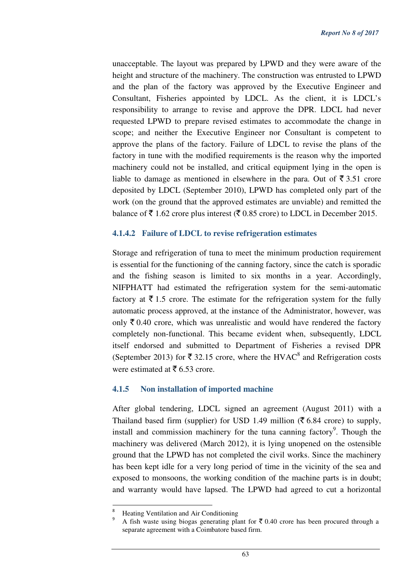unacceptable. The layout was prepared by LPWD and they were aware of the height and structure of the machinery. The construction was entrusted to LPWD and the plan of the factory was approved by the Executive Engineer and Consultant, Fisheries appointed by LDCL. As the client, it is LDCL's responsibility to arrange to revise and approve the DPR. LDCL had never requested LPWD to prepare revised estimates to accommodate the change in scope; and neither the Executive Engineer nor Consultant is competent to approve the plans of the factory. Failure of LDCL to revise the plans of the factory in tune with the modified requirements is the reason why the imported machinery could not be installed, and critical equipment lying in the open is liable to damage as mentioned in elsewhere in the para. Out of  $\bar{\tau}$  3.51 crore deposited by LDCL (September 2010), LPWD has completed only part of the work (on the ground that the approved estimates are unviable) and remitted the balance of  $\bar{\mathcal{F}}$  1.62 crore plus interest ( $\bar{\mathcal{F}}$  0.85 crore) to LDCL in December 2015.

### **4.1.4.2 Failure of LDCL to revise refrigeration estimates**

Storage and refrigeration of tuna to meet the minimum production requirement is essential for the functioning of the canning factory, since the catch is sporadic and the fishing season is limited to six months in a year. Accordingly, NIFPHATT had estimated the refrigeration system for the semi-automatic factory at  $\bar{\tau}$  1.5 crore. The estimate for the refrigeration system for the fully automatic process approved, at the instance of the Administrator, however, was only  $\bar{\xi}$  0.40 crore, which was unrealistic and would have rendered the factory completely non-functional. This became evident when, subsequently, LDCL itself endorsed and submitted to Department of Fisheries a revised DPR (September 2013) for  $\bar{\mathfrak{c}}$  32.15 crore, where the HVAC<sup>8</sup> and Refrigeration costs were estimated at  $\bar{\bar{\xi}}$  6.53 crore.

## **4.1.5 Non installation of imported machine**

After global tendering, LDCL signed an agreement (August 2011) with a Thailand based firm (supplier) for USD 1.49 million ( $\overline{\xi}$  6.84 crore) to supply, install and commission machinery for the tuna canning factory<sup>9</sup>. Though the machinery was delivered (March 2012), it is lying unopened on the ostensible ground that the LPWD has not completed the civil works. Since the machinery has been kept idle for a very long period of time in the vicinity of the sea and exposed to monsoons, the working condition of the machine parts is in doubt; and warranty would have lapsed. The LPWD had agreed to cut a horizontal

l

<sup>8</sup> Heating Ventilation and Air Conditioning

<sup>9</sup> A fish waste using biogas generating plant for  $\bar{\tau}$  0.40 crore has been procured through a separate agreement with a Coimbatore based firm.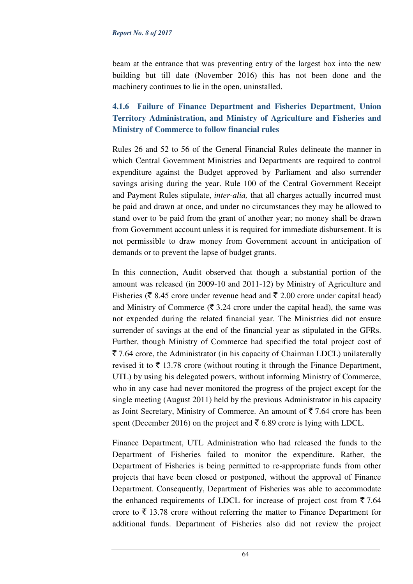#### *Report No. 8 of 2017*

beam at the entrance that was preventing entry of the largest box into the new building but till date (November 2016) this has not been done and the machinery continues to lie in the open, uninstalled.

## **4.1.6 Failure of Finance Department and Fisheries Department, Union Territory Administration, and Ministry of Agriculture and Fisheries and Ministry of Commerce to follow financial rules**

Rules 26 and 52 to 56 of the General Financial Rules delineate the manner in which Central Government Ministries and Departments are required to control expenditure against the Budget approved by Parliament and also surrender savings arising during the year. Rule 100 of the Central Government Receipt and Payment Rules stipulate, *inter-alia,* that all charges actually incurred must be paid and drawn at once, and under no circumstances they may be allowed to stand over to be paid from the grant of another year; no money shall be drawn from Government account unless it is required for immediate disbursement. It is not permissible to draw money from Government account in anticipation of demands or to prevent the lapse of budget grants.

In this connection, Audit observed that though a substantial portion of the amount was released (in 2009-10 and 2011-12) by Ministry of Agriculture and Fisheries ( $\bar{\xi}$  8.45 crore under revenue head and  $\bar{\xi}$  2.00 crore under capital head) and Ministry of Commerce ( $\bar{\tau}$  3.24 crore under the capital head), the same was not expended during the related financial year. The Ministries did not ensure surrender of savings at the end of the financial year as stipulated in the GFRs. Further, though Ministry of Commerce had specified the total project cost of  $\bar{\xi}$  7.64 crore, the Administrator (in his capacity of Chairman LDCL) unilaterally revised it to  $\bar{\tau}$  13.78 crore (without routing it through the Finance Department, UTL) by using his delegated powers, without informing Ministry of Commerce, who in any case had never monitored the progress of the project except for the single meeting (August 2011) held by the previous Administrator in his capacity as Joint Secretary, Ministry of Commerce. An amount of  $\bar{\mathfrak{F}}$  7.64 crore has been spent (December 2016) on the project and  $\bar{\mathfrak{c}}$  6.89 crore is lying with LDCL.

Finance Department, UTL Administration who had released the funds to the Department of Fisheries failed to monitor the expenditure. Rather, the Department of Fisheries is being permitted to re-appropriate funds from other projects that have been closed or postponed, without the approval of Finance Department. Consequently, Department of Fisheries was able to accommodate the enhanced requirements of LDCL for increase of project cost from  $\overline{5}$  7.64 crore to  $\bar{\xi}$  13.78 crore without referring the matter to Finance Department for additional funds. Department of Fisheries also did not review the project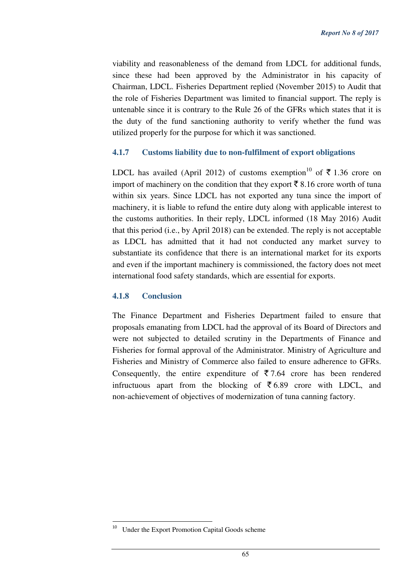viability and reasonableness of the demand from LDCL for additional funds, since these had been approved by the Administrator in his capacity of Chairman, LDCL. Fisheries Department replied (November 2015) to Audit that the role of Fisheries Department was limited to financial support. The reply is untenable since it is contrary to the Rule 26 of the GFRs which states that it is the duty of the fund sanctioning authority to verify whether the fund was utilized properly for the purpose for which it was sanctioned.

### **4.1.7 Customs liability due to non-fulfilment of export obligations**

LDCL has availed (April 2012) of customs exemption<sup>10</sup> of  $\bar{\tau}$  1.36 crore on import of machinery on the condition that they export  $\bar{\mathfrak{g}}$  8.16 crore worth of tuna within six years. Since LDCL has not exported any tuna since the import of machinery, it is liable to refund the entire duty along with applicable interest to the customs authorities. In their reply, LDCL informed (18 May 2016) Audit that this period (i.e., by April 2018) can be extended. The reply is not acceptable as LDCL has admitted that it had not conducted any market survey to substantiate its confidence that there is an international market for its exports and even if the important machinery is commissioned, the factory does not meet international food safety standards, which are essential for exports.

#### **4.1.8 Conclusion**

The Finance Department and Fisheries Department failed to ensure that proposals emanating from LDCL had the approval of its Board of Directors and were not subjected to detailed scrutiny in the Departments of Finance and Fisheries for formal approval of the Administrator. Ministry of Agriculture and Fisheries and Ministry of Commerce also failed to ensure adherence to GFRs. Consequently, the entire expenditure of  $\overline{5}$  7.64 crore has been rendered infructuous apart from the blocking of  $\overline{5}$  6.89 crore with LDCL, and non-achievement of objectives of modernization of tuna canning factory.

l

Under the Export Promotion Capital Goods scheme